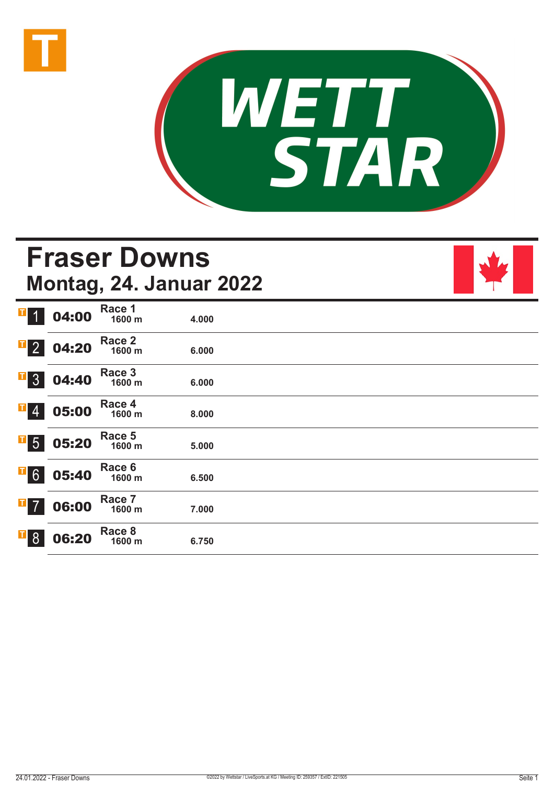



# **Fraser Downs Montag, 24. Januar 2022**



| $\mathbf{T}$<br>$\overline{1}$ | 04:00 | Race 1<br>1600 m | 4.000 |  |  |
|--------------------------------|-------|------------------|-------|--|--|
| $\overline{\textbf{r}}$ 2      | 04:20 | Race 2<br>1600 m | 6.000 |  |  |
| Д<br>3 <sup>1</sup>            | 04:40 | Race 3<br>1600 m | 6.000 |  |  |
| $\overline{1}$ 4               | 05:00 | Race 4<br>1600 m | 8.000 |  |  |
| $\overline{\phantom{0}}$ 5     | 05:20 | Race 5<br>1600 m | 5.000 |  |  |
| $\overline{1}$ 6               | 05:40 | Race 6<br>1600 m | 6.500 |  |  |
| $\overline{1}$ 7               | 06:00 | Race 7<br>1600 m | 7.000 |  |  |
| $\overline{1}8$                | 06:20 | Race 8<br>1600 m | 6.750 |  |  |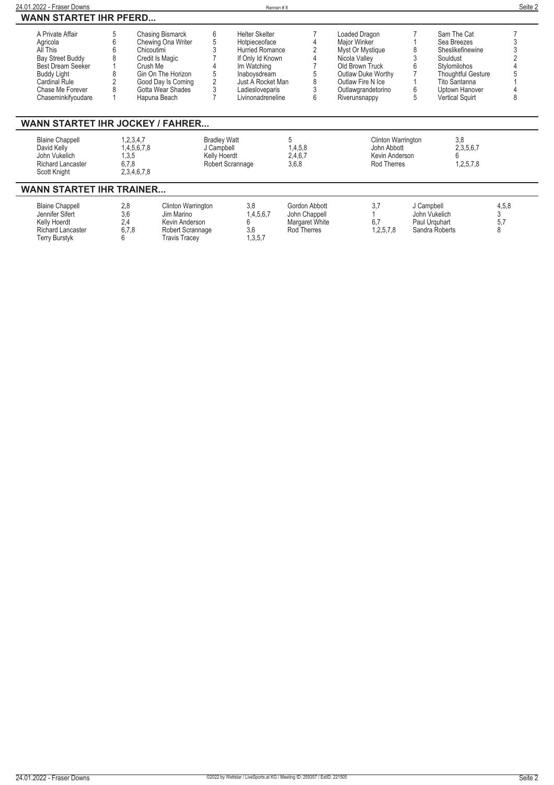| 24.01.2022 - Fraser Downs                                                                          |     |                                                           |                                                   | Rennen#8               |                                  |                                                                           |   |                                    | Seite 2 |
|----------------------------------------------------------------------------------------------------|-----|-----------------------------------------------------------|---------------------------------------------------|------------------------|----------------------------------|---------------------------------------------------------------------------|---|------------------------------------|---------|
| <b>WANN STARTET IHR PFERD</b>                                                                      |     |                                                           |                                                   |                        |                                  |                                                                           |   |                                    |         |
| A Private Affair                                                                                   | 5   | <b>Chasing Bismarck</b>                                   | 6                                                 | <b>Helter Skelter</b>  |                                  | Loaded Dragon                                                             |   | Sam The Cat                        |         |
| Agricola                                                                                           | 6   | Chewing Ona Writer                                        | 5                                                 | Hotpieceoface          |                                  | Major Winker                                                              |   | Sea Breezes                        |         |
| All This                                                                                           |     | Chicoutimi                                                |                                                   | <b>Hurried Romance</b> |                                  | Myst Or Mystique                                                          |   | Sheslikefinewine                   |         |
| <b>Bay Street Buddy</b>                                                                            |     | Credit Is Magic                                           |                                                   | If Only Id Known       |                                  | Nicola Valley                                                             |   | Souldust                           |         |
| <b>Best Dream Seeker</b>                                                                           |     | Crush Me                                                  |                                                   | Im Watching            |                                  | Old Brown Truck                                                           | 6 | Stylomilohos                       |         |
| Buddy Light                                                                                        | 8   | Gin On The Horizon                                        |                                                   | Inaboysdream           |                                  | Outlaw Duke Worthy                                                        |   | <b>Thoughtful Gesture</b>          |         |
| <b>Cardinal Rule</b>                                                                               |     | Good Day Is Coming                                        | $\overline{2}$                                    | Just A Rocket Man      |                                  | Outlaw Fire N Ice                                                         |   | Tito Santanna                      |         |
| Chase Me Forever                                                                                   | 8   | Gotta Wear Shades                                         |                                                   | Ladiesloveparis        |                                  | Outlawgrandetorino                                                        | 6 | Uptown Hanover                     |         |
| Chaseminkifyoudare                                                                                 |     | Hapuna Beach                                              |                                                   | Livinonadreneline      | 6                                | Riverunsnappy                                                             | 5 | <b>Vertical Squirt</b>             | 8       |
| <b>Blaine Chappell</b><br>David Kelly<br>John Vukelich<br><b>Richard Lancaster</b><br>Scott Knight |     | 1,2,3,4,7<br>1,4,5,6,7,8<br>1,3,5<br>6,7,8<br>2,3,4,6,7,8 | <b>Bradley Watt</b><br>J Campbell<br>Kelly Hoerdt | Robert Scrannage       | 5<br>1,4,5,8<br>2,4,6,7<br>3,6,8 | Clinton Warrington<br>John Abbott<br>Kevin Anderson<br><b>Rod Therres</b> |   | 3.8<br>2,3,5,6,7<br>6<br>1,2,5,7,8 |         |
| <b>WANN STARTET IHR TRAINER</b>                                                                    |     |                                                           |                                                   |                        |                                  |                                                                           |   |                                    |         |
| <b>Blaine Chappell</b>                                                                             | 2,8 | Clinton Warrington                                        |                                                   | 3.8                    | Gordon Abbott                    | 3,7                                                                       |   | J Campbell                         | 4,5,8   |
| Jennifer Sifert                                                                                    | 3,6 | Jim Marino                                                |                                                   | 1,4,5,6,7              | John Chappell                    |                                                                           |   | John Vukelich                      | 3       |
| Kelly Hoerdt                                                                                       |     | 2,4<br>Kevin Anderson                                     |                                                   |                        | Margaret White                   | 6,7                                                                       |   | Paul Urguhart                      | 5,7     |
| <b>Richard Lancaster</b>                                                                           |     | 6,7,8<br>Robert Scrannage                                 |                                                   | 3,6                    | Rod Therres                      | 1,2,5,7,8                                                                 |   | Sandra Roberts                     |         |
| Terry Burstyk                                                                                      |     | <b>Travis Tracev</b>                                      |                                                   | 1,3,5,7                |                                  |                                                                           |   |                                    |         |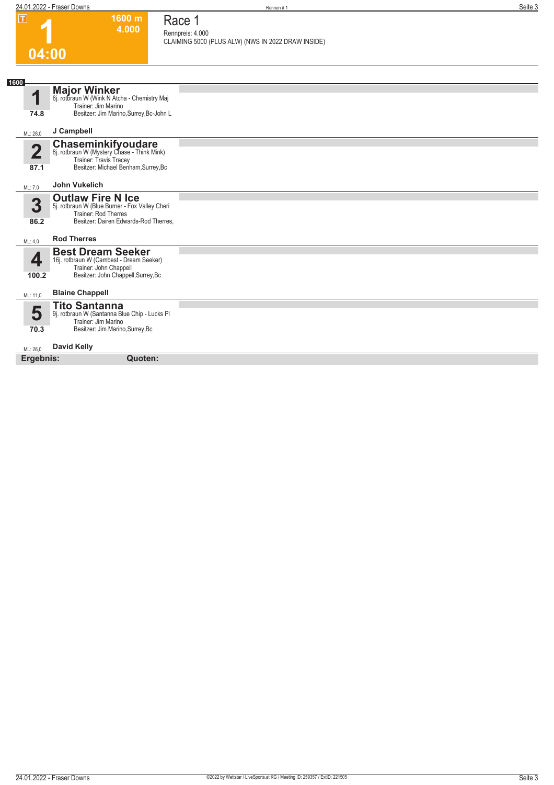| П                       | $1600 \; \mathrm{m}$<br>4.000                                                                                                    | Race 1<br>Rennpreis: 4.000                         |
|-------------------------|----------------------------------------------------------------------------------------------------------------------------------|----------------------------------------------------|
| 04:00                   |                                                                                                                                  | CLAIMING 5000 (PLUS ALW) (NWS IN 2022 DRAW INSIDE) |
|                         |                                                                                                                                  |                                                    |
| 1600                    |                                                                                                                                  |                                                    |
| 1                       | <b>Major Winker</b><br>6j. rotbraun W (Wink N Atcha - Chemistry Maj<br>Trainer: Jim Marino                                       |                                                    |
| 74.8                    | Besitzer: Jim Marino, Surrey, Bc-John L                                                                                          |                                                    |
| ML: 28,0                | J Campbell                                                                                                                       |                                                    |
| $\overline{\mathbf{2}}$ | <b>Chaseminkifyoudare</b><br>8j. rotbraun W (Mystery Chase - Think Mink)<br>Trainer: Travis Tracey                               |                                                    |
| 87.1                    | Besitzer: Michael Benham, Surrey, Bc                                                                                             |                                                    |
| ML: 7,0                 | <b>John Vukelich</b>                                                                                                             |                                                    |
| 3                       | <b>Outlaw Fire N Ice</b><br>5j. rotbraun W (Blue Burner - Fox Valley Cheri<br>Trainer: Rod Therres                               |                                                    |
| 86.2                    | Besitzer: Dairen Edwards-Rod Therres,                                                                                            |                                                    |
| ML: 4,0                 | <b>Rod Therres</b>                                                                                                               |                                                    |
| 4                       | <b>Best Dream Seeker</b><br>16j. rotbraun W (Cambest - Dream Seeker)                                                             |                                                    |
| 100.2                   | Trainer: John Chappell<br>Besitzer: John Chappell, Surrey, Bc                                                                    |                                                    |
| ML: 11,0                | <b>Blaine Chappell</b>                                                                                                           |                                                    |
| 5<br>70.3               | <b>Tito Santanna</b><br>9j. rotbraun W (Santanna Blue Chip - Lucks Pl<br>Trainer: Jim Marino<br>Besitzer: Jim Marino, Surrey, Bc |                                                    |
| ML: 26,0                | <b>David Kelly</b>                                                                                                               |                                                    |
| Ergebnis:               | Quoten:                                                                                                                          |                                                    |
|                         |                                                                                                                                  |                                                    |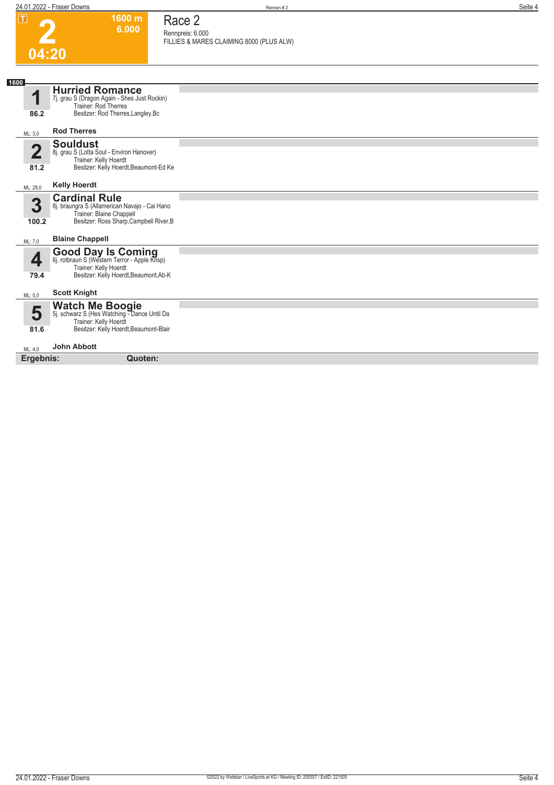### **2 04:20 1600 m**

### **Race 2**

**6.000** 

**Rennpreis: 6.000 FILLIES & MARES CLAIMING 8000 (PLUS ALW)** 

| 1600       |                                                                                                                                               |  |
|------------|-----------------------------------------------------------------------------------------------------------------------------------------------|--|
| 1          | <b>Hurried Romance</b><br>7j. grau S (Dragon Again - Shes Just Rockin)<br>Trainer: Rod Therres                                                |  |
| 86.2       | Besitzer: Rod Therres, Langley, Bc                                                                                                            |  |
| ML: 3,0    | <b>Rod Therres</b>                                                                                                                            |  |
| 4<br>81.2  | <b>Souldust</b><br>8j. grau S (Lotta Soul - Environ Hanover)<br>Trainer: Kelly Hoerdt<br>Besitzer: Kelly Hoerdt, Beaumont-Ed Ke               |  |
| ML: 28,0   | <b>Kelly Hoerdt</b>                                                                                                                           |  |
| 3<br>100.2 | <b>Cardinal Rule</b><br>8j. braungra S (Allamerican Navajo - Cai Hano<br>Trainer: Blaine Chappell<br>Besitzer: Ross Sharp, Campbell River, B  |  |
| ML: 7,0    | <b>Blaine Chappell</b>                                                                                                                        |  |
| 79.4       | <b>Good Day Is Coming</b><br>6j. rotbraun S (Western Terror - Apple Krisp)<br>Trainer: Kelly Hoerdt<br>Besitzer: Kelly Hoerdt, Beaumont, Ab-K |  |
| ML: 5.0    | <b>Scott Knight</b>                                                                                                                           |  |
| 5<br>81.6  | Watch Me Boogie<br>5j. schwarz S (Hes Watching - Dance Until Da<br>Trainer: Kelly Hoerdt<br>Besitzer: Kelly Hoerdt, Beaumont-Blair            |  |
| ML: 4,0    | <b>John Abbott</b>                                                                                                                            |  |
| Ergebnis:  | Quoten:                                                                                                                                       |  |
|            |                                                                                                                                               |  |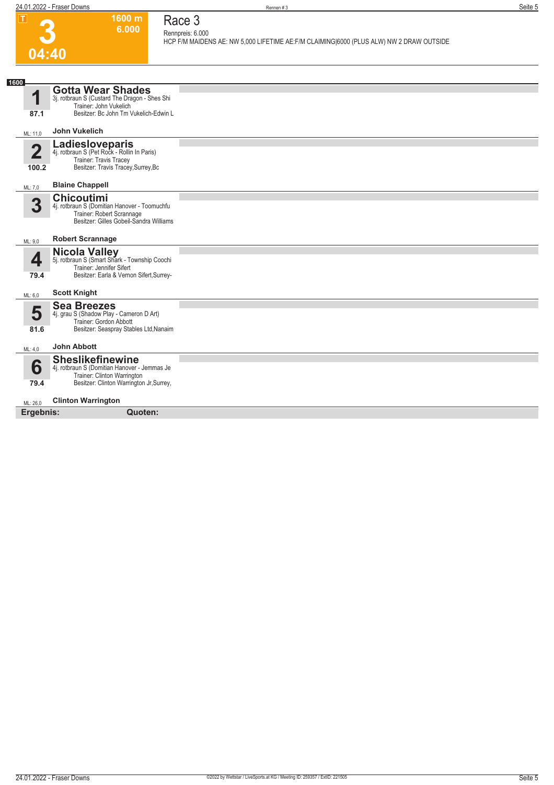

#### **Race 3 Rennpreis: 6.000**

**1600 m 6.000** 

**HCP F/M MAIDENS AE: NW 5,000 LIFETIME AE:F/M CLAIMING|6000 (PLUS ALW) NW 2 DRAW OUTSIDE** 

| 1600 |                         |                                                                         |  |
|------|-------------------------|-------------------------------------------------------------------------|--|
|      |                         | <b>Gotta Wear Shades</b>                                                |  |
|      | 1                       | 3j. rotbraun S (Custard The Dragon - Shes Shi<br>Trainer: John Vukelich |  |
|      |                         |                                                                         |  |
|      | 87.1                    | Besitzer: Bc John Tm Vukelich-Edwin L                                   |  |
|      | ML: 11,0                | <b>John Vukelich</b>                                                    |  |
|      |                         |                                                                         |  |
|      | $\overline{\mathbf{2}}$ | Ladiesloveparis<br>4j. rotbraun S (Pet Rock - Rollin In Paris)          |  |
|      |                         | Trainer: Travis Tracey                                                  |  |
|      | 100.2                   | Besitzer: Travis Tracey, Surrey, Bc                                     |  |
|      |                         |                                                                         |  |
|      | ML: 7.0                 | <b>Blaine Chappell</b>                                                  |  |
|      |                         | <b>Chicoutimi</b>                                                       |  |
|      | 3                       | 4j. rotbraun S (Domitian Hanover - Toomuchfu                            |  |
|      |                         | Trainer: Robert Scrannage                                               |  |
|      |                         | Besitzer: Gilles Gobeil-Sandra Williams                                 |  |
|      |                         | <b>Robert Scrannage</b>                                                 |  |
|      | ML: 9,0                 |                                                                         |  |
|      |                         | Nicola Valley<br>5j. rotbraun S (Smart Shark - Township Coochi          |  |
|      | 4                       | Trainer: Jennifer Sifert                                                |  |
|      | 79.4                    | Besitzer: Earla & Vernon Sifert, Surrey-                                |  |
|      |                         |                                                                         |  |
|      | ML: 6,0                 | <b>Scott Knight</b>                                                     |  |
|      |                         | <b>Sea Breezes</b>                                                      |  |
|      | 5                       | 4j. grau S (Shadow Play - Cameron D Art)                                |  |
|      |                         | Trainer: Gordon Abbott                                                  |  |
|      | 81.6                    | Besitzer: Seaspray Stables Ltd, Nanaim                                  |  |
|      | ML: 4,0                 | <b>John Abbott</b>                                                      |  |
|      |                         |                                                                         |  |
|      | 6                       | <b>Sheslikefinewine</b><br>4j. rotbraun S (Domitian Hanover - Jemmas Je |  |
|      |                         | Trainer: Clinton Warrington                                             |  |
|      | 79.4                    | Besitzer: Clinton Warrington Jr, Surrey,                                |  |
|      |                         |                                                                         |  |
|      | ML: 26,0                | <b>Clinton Warrington</b>                                               |  |
|      | Ergebnis:               | Quoten:                                                                 |  |
|      |                         |                                                                         |  |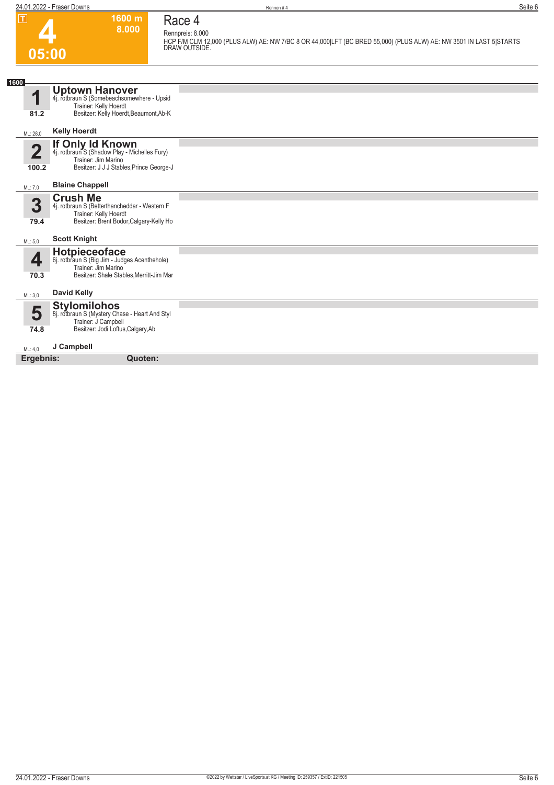#### **1600 m 8.000 Race 4 Rennpreis: 8.000**

**4 05:00**

## **HCP F/M CLM 12,000 (PLUS ALW) AE: NW 7/BC 8 OR 44,000|LFT (BC BRED 55,000) (PLUS ALW) AE: NW 3501 IN LAST 5|STARTS DRAW OUTSIDE.**

| 1600                 |                                                                                                                                                         |  |
|----------------------|---------------------------------------------------------------------------------------------------------------------------------------------------------|--|
| 81.2                 | <b>Uptown Hanover</b><br>4j. rotbraun S (Somebeachsomewhere - Upsid<br>Trainer: Kelly Hoerdt<br>Besitzer: Kelly Hoerdt, Beaumont, Ab-K                  |  |
| ML: 28,0             | <b>Kelly Hoerdt</b>                                                                                                                                     |  |
| $\mathbf 2$<br>100.2 | <b>If Only Id Known</b><br>4j. rotbraun S (Shadow Play - Michelles Fury)<br>Trainer: Jim Marino<br>Besitzer: J J J Stables, Prince George-J             |  |
| ML: 7,0              | <b>Blaine Chappell</b>                                                                                                                                  |  |
| 3<br>79.4            | <b>Crush Me</b><br>4j. rotbraun S (Betterthancheddar - Western F<br>Trainer: Kelly Hoerdt<br>Besitzer: Brent Bodor, Calgary-Kelly Ho                    |  |
| ML: 5.0              | <b>Scott Knight</b>                                                                                                                                     |  |
| 4<br>70.3<br>ML: 3,0 | Hotpieceoface<br>6j. rotbraun S (Big Jim - Judges Acenthehole)<br>Trainer: Jim Marino<br>Besitzer: Shale Stables, Merritt-Jim Mar<br><b>David Kelly</b> |  |
|                      | <b>Stylomilohos</b>                                                                                                                                     |  |
| 5<br>74.8            | 8j. rotbraun S (Mystery Chase - Heart And Styl<br>Trainer: J Campbell<br>Besitzer: Jodi Loftus, Calgary, Ab                                             |  |
| ML: 4,0              | J Campbell                                                                                                                                              |  |
| Ergebnis:            | Quoten:                                                                                                                                                 |  |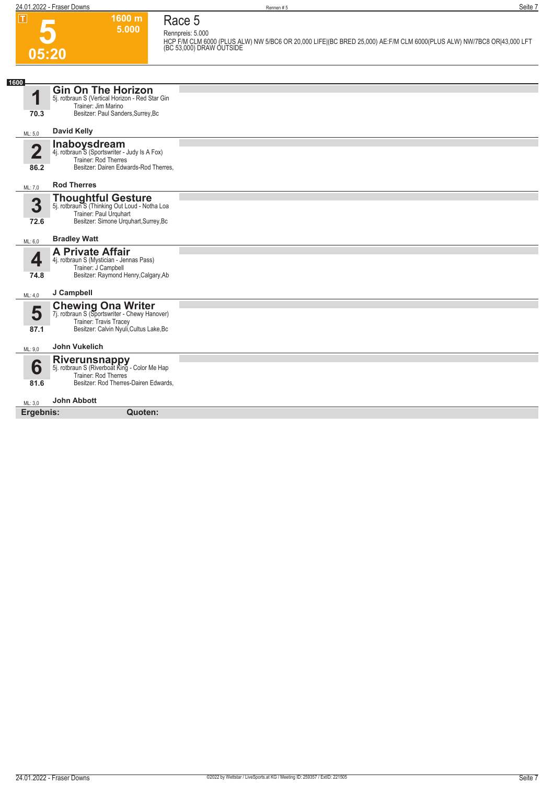## **Race 5**

**1600 m**

| .                       | 000 HH<br>5.000                                                            | Race 5                                                                                                                                                               |
|-------------------------|----------------------------------------------------------------------------|----------------------------------------------------------------------------------------------------------------------------------------------------------------------|
|                         |                                                                            | Rennpreis: 5.000<br>HCP F/M CLM 6000 (PLUS ALW) NW 5/BC6 OR 20,000 LIFE (BC BRED 25,000) AE:F/M CLM 6000(PLUS ALW) NW/7BC8 OR 43,000 LFT<br>(BC 53,000) DRAW OUTSIDE |
| 05:20                   |                                                                            |                                                                                                                                                                      |
|                         |                                                                            |                                                                                                                                                                      |
|                         |                                                                            |                                                                                                                                                                      |
| 1600                    | <b>Gin On The Horizon</b>                                                  |                                                                                                                                                                      |
| 1                       | 5j. rotbraun S (Vertical Horizon - Red Star Gin<br>Trainer: Jim Marino     |                                                                                                                                                                      |
| 70.3                    | Besitzer: Paul Sanders, Surrey, Bc                                         |                                                                                                                                                                      |
|                         |                                                                            |                                                                                                                                                                      |
| ML: 5,0                 | <b>David Kelly</b>                                                         |                                                                                                                                                                      |
| $\overline{\mathbf{2}}$ | <b>Inaboysdream</b><br>4j. rotbraun S (Sportswriter - Judy Is A Fox)       |                                                                                                                                                                      |
|                         | <b>Trainer: Rod Therres</b>                                                |                                                                                                                                                                      |
| 86.2                    | Besitzer: Dairen Edwards-Rod Therres,                                      |                                                                                                                                                                      |
| ML: 7,0                 | <b>Rod Therres</b>                                                         |                                                                                                                                                                      |
|                         | <b>Thoughtful Gesture</b><br>5j. rotbraun S (Thinking Out Loud - Notha Loa |                                                                                                                                                                      |
| 3                       | Trainer: Paul Urguhart                                                     |                                                                                                                                                                      |
| 72.6                    | Besitzer: Simone Urquhart, Surrey, Bc                                      |                                                                                                                                                                      |
|                         |                                                                            |                                                                                                                                                                      |
| ML: 6,0                 | <b>Bradley Watt</b>                                                        |                                                                                                                                                                      |
| 4                       | <b>A Private Affair</b><br>4j. rotbraun S (Mystician - Jennas Pass)        |                                                                                                                                                                      |
|                         | Trainer: J Campbell                                                        |                                                                                                                                                                      |
| 74.8                    | Besitzer: Raymond Henry, Calgary, Ab                                       |                                                                                                                                                                      |
| ML: 4.0                 | J Campbell                                                                 |                                                                                                                                                                      |
|                         | <b>Chewing Ona Writer</b><br>7j. rotbraun S (Sportswriter - Chewy Hanover) |                                                                                                                                                                      |
| 5                       | Trainer: Travis Tracey                                                     |                                                                                                                                                                      |
| 87.1                    | Besitzer: Calvin Nyuli, Cultus Lake, Bc                                    |                                                                                                                                                                      |
|                         | <b>John Vukelich</b>                                                       |                                                                                                                                                                      |
| ML: 9,0                 |                                                                            |                                                                                                                                                                      |
| 6                       | <b>Riverunsnappy</b><br>5j. rotbraun S (Riverboat King - Color Me Hap      |                                                                                                                                                                      |
| 81.6                    | Trainer: Rod Therres<br>Besitzer: Rod Therres-Dairen Edwards,              |                                                                                                                                                                      |
|                         |                                                                            |                                                                                                                                                                      |
| ML: 3,0                 | <b>John Abbott</b>                                                         |                                                                                                                                                                      |
| Ergebnis:               | Quoten:                                                                    |                                                                                                                                                                      |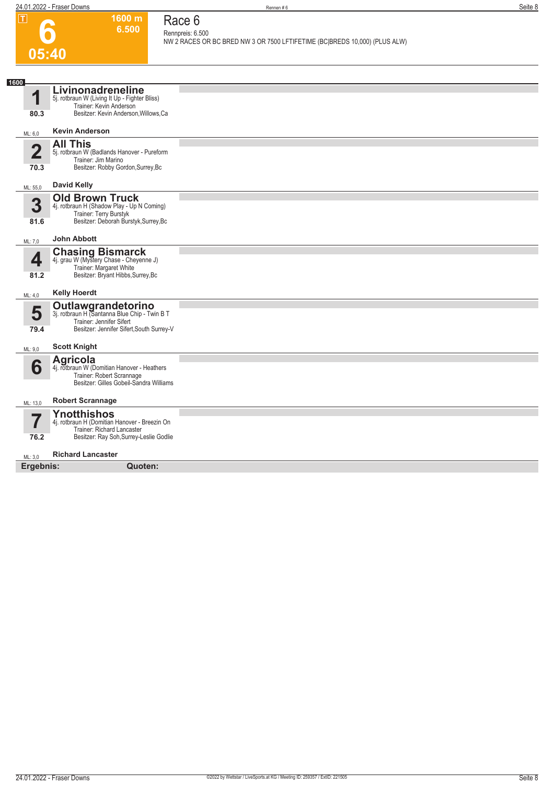|                                 | 24.01.2022 - Fraser Downs                                                                                                                           | Rennen#6                                                                                                 | Seite 8 |
|---------------------------------|-----------------------------------------------------------------------------------------------------------------------------------------------------|----------------------------------------------------------------------------------------------------------|---------|
| $\overline{\mathbf{r}}$         | 1600 m<br>6.500                                                                                                                                     | Race 6<br>Rennpreis: 6.500<br>NW 2 RACES OR BC BRED NW 3 OR 7500 LFTIFETIME (BC BREDS 10,000) (PLUS ALW) |         |
| 05:40                           |                                                                                                                                                     |                                                                                                          |         |
| 1600                            |                                                                                                                                                     |                                                                                                          |         |
| 1<br>80.3                       | Livinonadreneline<br>5j. rotbraun W (Living It Up - Fighter Bliss)<br>Trainer: Kevin Anderson<br>Besitzer: Kevin Anderson, Willows, Ca              |                                                                                                          |         |
|                                 |                                                                                                                                                     |                                                                                                          |         |
| ML: 6,0                         | <b>Kevin Anderson</b>                                                                                                                               |                                                                                                          |         |
| $\overline{\mathbf{2}}$<br>70.3 | <b>All This</b><br>5j. rotbraun W (Badlands Hanover - Pureform<br>Trainer: Jim Marino<br>Besitzer: Robby Gordon, Surrey, Bc                         |                                                                                                          |         |
| ML: 55,0                        | <b>David Kelly</b>                                                                                                                                  |                                                                                                          |         |
| 3<br>81.6                       | <b>Old Brown Truck</b><br>4j. rotbraun H (Shadow Play - Up N Coming)<br>Trainer: Terry Burstyk<br>Besitzer: Deborah Burstyk, Surrey, Bc             |                                                                                                          |         |
| ML: 7,0                         | <b>John Abbott</b>                                                                                                                                  |                                                                                                          |         |
| 4<br>81.2                       | <b>Chasing Bismarck</b><br>4j. grau W (Mystery Chase - Cheyenne J)<br>Trainer: Margaret White<br>Besitzer: Bryant Hibbs, Surrey, Bc                 |                                                                                                          |         |
| ML: 4,0                         | <b>Kelly Hoerdt</b>                                                                                                                                 |                                                                                                          |         |
| 5<br>79.4                       | <b>Outlawgrandetorino</b><br>3j. rotbraun H (Santanna Blue Chip - Twin B T<br>Trainer: Jennifer Sifert<br>Besitzer: Jennifer Sifert, South Surrey-V |                                                                                                          |         |
| ML: 9,0                         | <b>Scott Knight</b>                                                                                                                                 |                                                                                                          |         |
| 6                               | Agricola<br>4j. rotbraun W (Domitian Hanover - Heathers<br>Trainer: Robert Scrannage<br>Besitzer: Gilles Gobeil-Sandra Williams                     |                                                                                                          |         |
| ML: 13,0                        | <b>Robert Scrannage</b>                                                                                                                             |                                                                                                          |         |
| 5,                              | Ynotthishos<br>4j. rotbraun H (Domitian Hanover - Breezin On<br>The basic Distribution of the country                                               |                                                                                                          |         |

**Ynotthishos** 4j. rotbraun H (Domitian Hanover - Breezin On Trainer: Richard Lancaster Besitzer: Ray Soh,Surrey-Leslie Godlie

#### ML: 3,0 **Richard Lancaster**

**Ergebnis: Quoten:**

**76.2**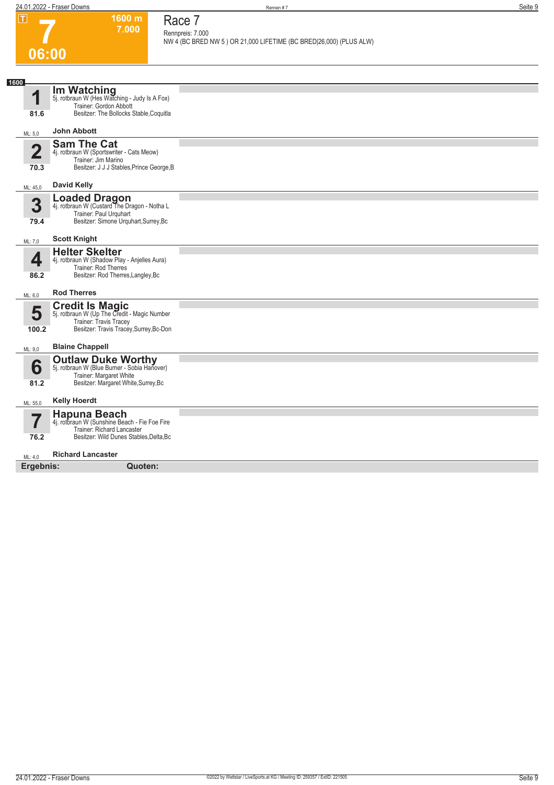# **7 06:00**

# **Race 7**

**1600 m 7.000** 

**Rennpreis: 7.000 NW 4 (BC BRED NW 5 ) OR 21,000 LIFETIME (BC BRED|26,000) (PLUS ALW)** 

| 1600                            |                                                                                                                                              |  |
|---------------------------------|----------------------------------------------------------------------------------------------------------------------------------------------|--|
| 1                               | <b>Im Watching</b><br>5j. rotbraun W (Hes Watching - Judy Is A Fox)<br>Trainer: Gordon Abbott                                                |  |
| 81.6                            | Besitzer: The Bollocks Stable, Coquitla                                                                                                      |  |
| ML: 5,0                         | John Abbott                                                                                                                                  |  |
| $\overline{\mathbf{2}}$<br>70.3 | <b>Sam The Cat</b><br>4j. rotbraun W (Sportswriter - Cats Meow)<br>Trainer: Jim Marino<br>Besitzer: J J J Stables, Prince George, B          |  |
| ML: 45,0                        | <b>David Kelly</b>                                                                                                                           |  |
| 3<br>79.4                       | <b>Loaded Dragon</b><br>4j. rotbraun W (Custard The Dragon - Notha L<br>Trainer: Paul Urguhart<br>Besitzer: Simone Urquhart, Surrey, Bc      |  |
| ML: 7,0                         | <b>Scott Knight</b>                                                                                                                          |  |
| 4<br>86.2                       | <b>Helter Skelter</b><br>4j. rotbraun W (Shadow Play - Anjelles Aura)<br>Trainer: Rod Therres<br>Besitzer: Rod Therres, Langley, Bc          |  |
| ML: 6,0                         | <b>Rod Therres</b>                                                                                                                           |  |
| 5<br>100.2                      | <b>Credit Is Magic</b><br>5j. rotbraun W (Up The Credit - Magic Number<br>Trainer: Travis Tracey<br>Besitzer: Travis Tracey, Surrey, Bc-Don  |  |
| ML: 9,0                         | <b>Blaine Chappell</b>                                                                                                                       |  |
| 6<br>81.2                       | <b>Outlaw Duke Worthy</b><br>5j. rotbraun W (Blue Burner - Sobia Hanover)<br>Trainer: Margaret White<br>Besitzer: Margaret White, Surrey, Bc |  |
| ML: 55,0                        | <b>Kelly Hoerdt</b>                                                                                                                          |  |
| —<br>76.2                       | Hapuna Beach<br>4j. rotbraun W (Sunshine Beach - Fie Foe Fire<br>Trainer: Richard Lancaster<br>Besitzer: Wild Dunes Stables, Delta, Bc       |  |
| ML: 4.0                         | <b>Richard Lancaster</b>                                                                                                                     |  |
| Ergebnis:                       | Quoten:                                                                                                                                      |  |